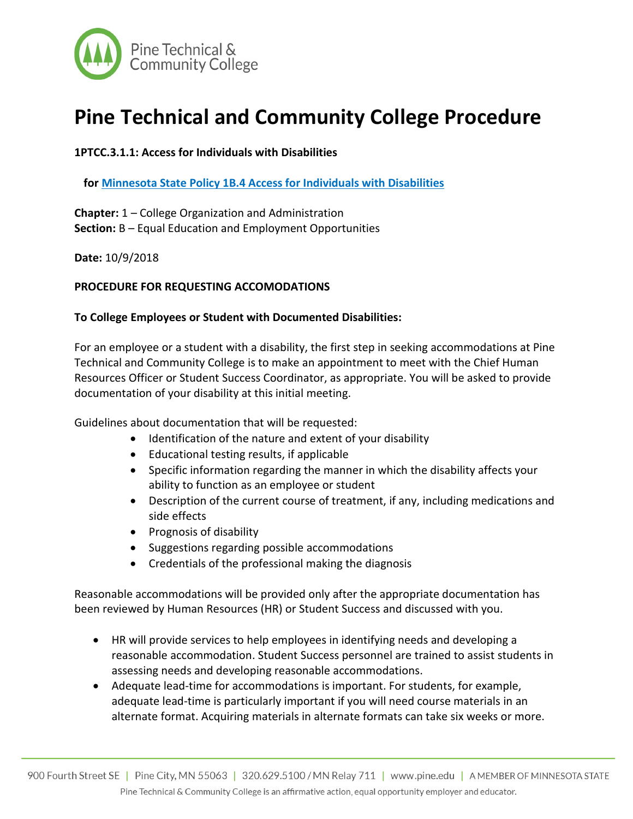

# **Pine Technical and Community College Procedure**

## **1PTCC.3.1.1: Access for Individuals with Disabilities**

**for Minnesota State Policy 1B.4 Access for Individuals with Disabilities** 

**Chapter:** 1 – College Organization and Administration **Section:** B – Equal Education and Employment Opportunities

**Date:** 10/9/2018

### **PROCEDURE FOR REQUESTING ACCOMODATIONS**

#### **To College Employees or Student with Documented Disabilities:**

For an employee or a student with a disability, the first step in seeking accommodations at Pine Technical and Community College is to make an appointment to meet with the Chief Human Resources Officer or Student Success Coordinator, as appropriate. You will be asked to provide documentation of your disability at this initial meeting.

Guidelines about documentation that will be requested:

- Identification of the nature and extent of your disability
- Educational testing results, if applicable
- Specific information regarding the manner in which the disability affects your ability to function as an employee or student
- Description of the current course of treatment, if any, including medications and side effects
- Prognosis of disability
- Suggestions regarding possible accommodations
- Credentials of the professional making the diagnosis

Reasonable accommodations will be provided only after the appropriate documentation has been reviewed by Human Resources (HR) or Student Success and discussed with you.

- HR will provide services to help employees in identifying needs and developing a reasonable accommodation. Student Success personnel are trained to assist students in assessing needs and developing reasonable accommodations.
- Adequate lead-time for accommodations is important. For students, for example, adequate lead-time is particularly important if you will need course materials in an alternate format. Acquiring materials in alternate formats can take six weeks or more.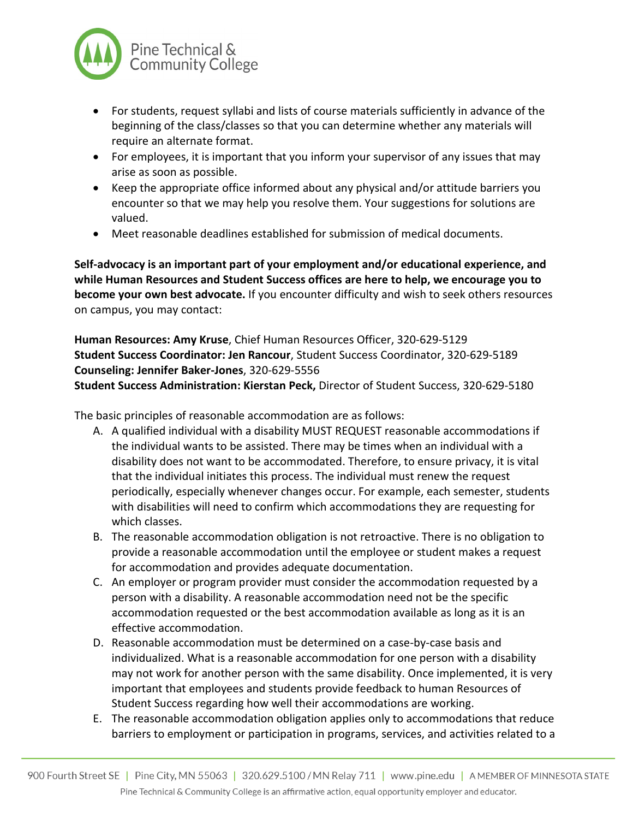

- For students, request syllabi and lists of course materials sufficiently in advance of the beginning of the class/classes so that you can determine whether any materials will require an alternate format.
- For employees, it is important that you inform your supervisor of any issues that may arise as soon as possible.
- Keep the appropriate office informed about any physical and/or attitude barriers you encounter so that we may help you resolve them. Your suggestions for solutions are valued.
- Meet reasonable deadlines established for submission of medical documents.

**Self-advocacy is an important part of your employment and/or educational experience, and while Human Resources and Student Success offices are here to help, we encourage you to become your own best advocate.** If you encounter difficulty and wish to seek others resources on campus, you may contact:

**Human Resources: Amy Kruse**, Chief Human Resources Officer, 320-629-5129 **Student Success Coordinator: Jen Rancour**, Student Success Coordinator, 320-629-5189 **Counseling: Jennifer Baker-Jones**, 320-629-5556

**Student Success Administration: Kierstan Peck,** Director of Student Success, 320-629-5180

The basic principles of reasonable accommodation are as follows:

- A. A qualified individual with a disability MUST REQUEST reasonable accommodations if the individual wants to be assisted. There may be times when an individual with a disability does not want to be accommodated. Therefore, to ensure privacy, it is vital that the individual initiates this process. The individual must renew the request periodically, especially whenever changes occur. For example, each semester, students with disabilities will need to confirm which accommodations they are requesting for which classes.
- B. The reasonable accommodation obligation is not retroactive. There is no obligation to provide a reasonable accommodation until the employee or student makes a request for accommodation and provides adequate documentation.
- C. An employer or program provider must consider the accommodation requested by a person with a disability. A reasonable accommodation need not be the specific accommodation requested or the best accommodation available as long as it is an effective accommodation.
- D. Reasonable accommodation must be determined on a case-by-case basis and individualized. What is a reasonable accommodation for one person with a disability may not work for another person with the same disability. Once implemented, it is very important that employees and students provide feedback to human Resources of Student Success regarding how well their accommodations are working.
- E. The reasonable accommodation obligation applies only to accommodations that reduce barriers to employment or participation in programs, services, and activities related to a